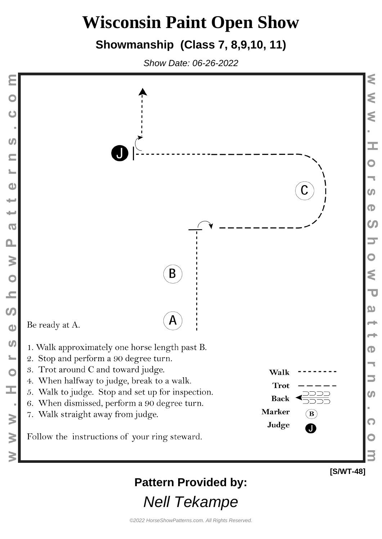### **Showmanship (Class 7, 8,9,10, 11)**

Show Date: 06-26-2022

 $\mathbf C$ 

**SV** 

 $\blacksquare$ 

 $\frac{1}{2}$ 

÷

₩

 $\Omega$ 

 $\frac{1}{2}$ 

 $\overline{C}$ 

I

 $\geq$ 

3



**Pattern Provided by:**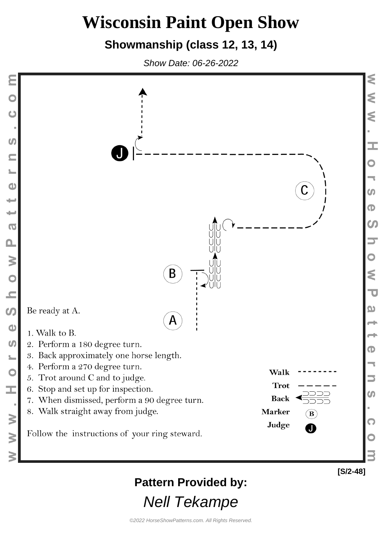### **Showmanship (class 12, 13, 14)**

Show Date: 06-26-2022

Ċ

**SV** 

 $\blacksquare$ 

 $\bullet$ 

÷

₩

 $\overline{O}$ 

 $\mathbf{a}$ 

Œ,

 $\geq$ 

 $\geq$ 



### **Pattern Provided by:**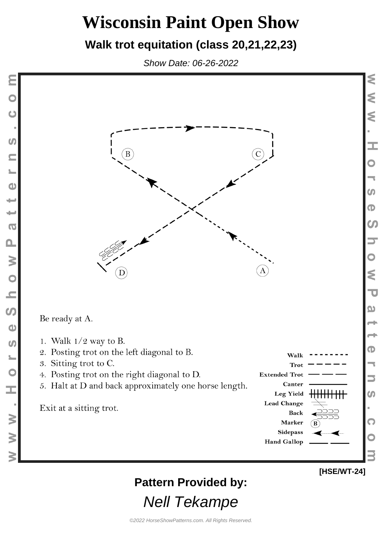#### **Walk trot equitation (class 20,21,22,23)**

Show Date: 06-26-2022

Ċ

 $\boldsymbol{G}$ 

 $\bullet$ 

۳

 $\overline{O}$ 

 $\Omega$ 

W O N

 $\boldsymbol{\omega}$ 

 $\bullet$ 

 $\omega$ 

 $\overline{\mathbf{C}}$ 

I

 $\geq$ 

 $\geq$ 



 $\boldsymbol{\omega}$  $\mathbf \Phi$  $\boldsymbol{\omega}$ ⋚  $\overline{\mathbf{u}}$ യ  $\bf \Phi$  $\boldsymbol{\omega}$ 

#### **[HSE/WT-24]**

**Pattern Provided by:**

Nell Tekampe

**Hand Gallop**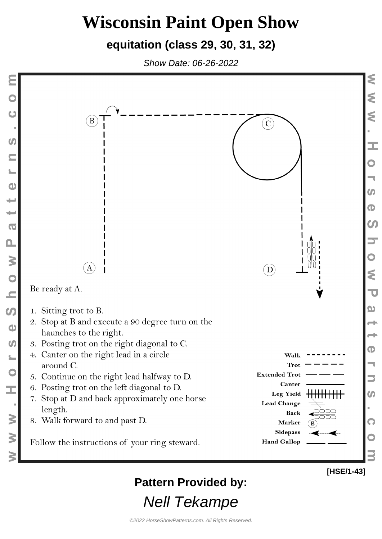#### **equitation (class 29, 30, 31, 32)**

Show Date: 06-26-2022



**Pattern Provided by:**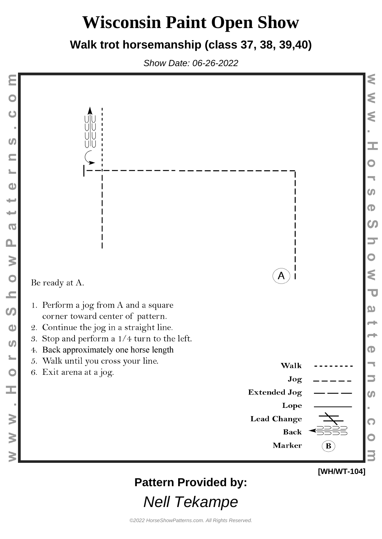#### **Walk trot horsemanship (class 37, 38, 39,40)**

Show Date: 06-26-2022



### **Pattern Provided by:**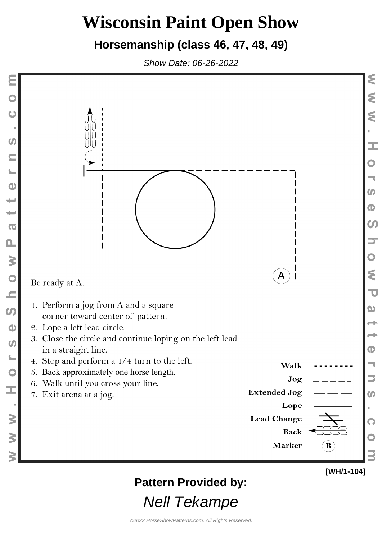#### **Horsemanship (class 46, 47, 48, 49)**

Show Date: 06-26-2022



### **Pattern Provided by:**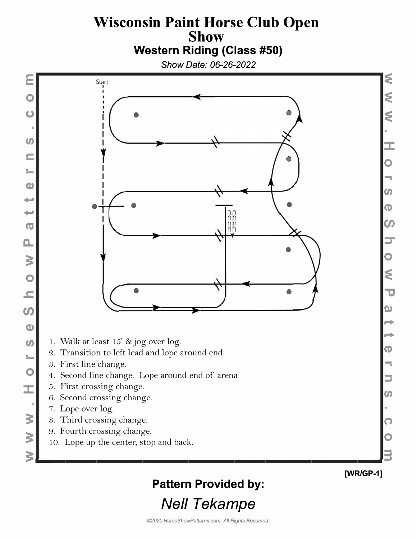#### **Wisconsin Paint Horse Club Open Show Western Riding (Class #50)**

*Show Date: 06-26-2022* 

**E** 

**0** 

**(J**  ■

*tn* 

**C:** 

I■•

**Cl)** 

.... ....

**ca** 

**a.** 

**3:** 

**0** 

**.c:** 

**U)** 

**Cl)** 

*tn* 

I■•

**0** 

**:J:** 

**3:** 

**3:** 

■



� �  $\leq$ **:c 0**  -, *u,*   $\bullet$  $\boldsymbol{\mathsf{C}}$ **::::r 0**  � **"tJ D)**  ... ... **(1)**  -, **:l**  *u,*   $\bm \Omega$ **0 3** 

**[WR/GP-1]** 

### **Pattern Provided by:**  *Nell Tekampe*